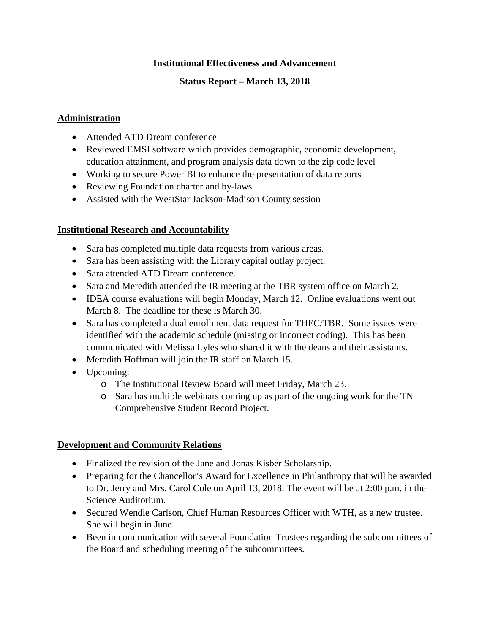### **Institutional Effectiveness and Advancement**

# **Status Report – March 13, 2018**

# **Administration**

- Attended ATD Dream conference
- Reviewed EMSI software which provides demographic, economic development, education attainment, and program analysis data down to the zip code level
- Working to secure Power BI to enhance the presentation of data reports
- Reviewing Foundation charter and by-laws
- Assisted with the WestStar Jackson-Madison County session

### **Institutional Research and Accountability**

- Sara has completed multiple data requests from various areas.
- Sara has been assisting with the Library capital outlay project.
- Sara attended ATD Dream conference.
- Sara and Meredith attended the IR meeting at the TBR system office on March 2.
- IDEA course evaluations will begin Monday, March 12. Online evaluations went out March 8. The deadline for these is March 30.
- Sara has completed a dual enrollment data request for THEC/TBR. Some issues were identified with the academic schedule (missing or incorrect coding). This has been communicated with Melissa Lyles who shared it with the deans and their assistants.
- Meredith Hoffman will join the IR staff on March 15.
- Upcoming:
	- o The Institutional Review Board will meet Friday, March 23.
	- o Sara has multiple webinars coming up as part of the ongoing work for the TN Comprehensive Student Record Project.

### **Development and Community Relations**

- Finalized the revision of the Jane and Jonas Kisber Scholarship.
- Preparing for the Chancellor's Award for Excellence in Philanthropy that will be awarded to Dr. Jerry and Mrs. Carol Cole on April 13, 2018. The event will be at 2:00 p.m. in the Science Auditorium.
- Secured Wendie Carlson, Chief Human Resources Officer with WTH, as a new trustee. She will begin in June.
- Been in communication with several Foundation Trustees regarding the subcommittees of the Board and scheduling meeting of the subcommittees.